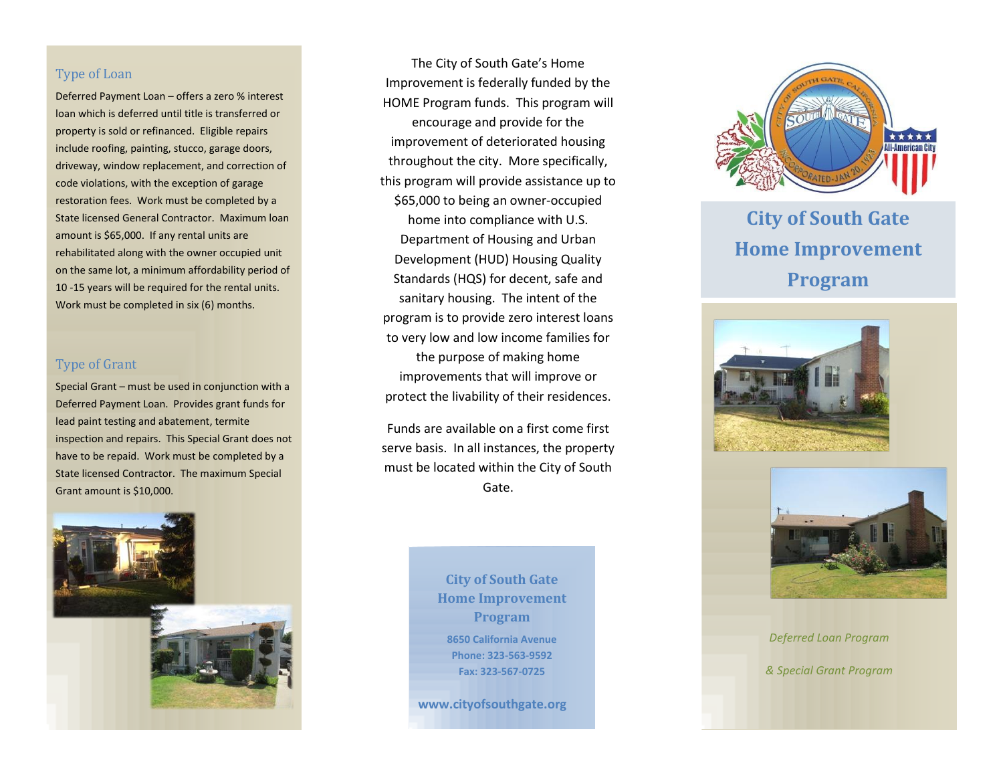### Type of Loan

Deferred Payment Loan – offers a zero % interest loan which is deferred until title is transferred or property is sold or refinanced. Eligible repairs include roofing, painting, stucco, garage doors, driveway, window replacement, and correction of code violations, with the exception of garage restoration fees. Work must be completed by a State licensed General Contractor. Maximum loan amount is \$65,000. If any rental units are rehabilitated along with the owner occupied unit on the same lot, a minimum affordability period of 10 -15 years will be required for the rental units. Work must be completed in six (6) months.

### Type of Grant

Special Grant – must be used in conjunction with a Deferred Payment Loan. Provides grant funds for lead paint testing and abatement, termite inspection and repairs. This Special Grant does not have to be repaid. Work must be completed by a State licensed Contractor. The maximum Special Grant amount is \$10,000.



The City of South Gate's Home Improvement is federally funded by the HOME Program funds. This program will encourage and provide for the improvement of deteriorated housing throughout the city. More specifically, this program will provide assistance up to \$65,000 to being an owner-occupied home into compliance with U.S. Department of Housing and Urban Development (HUD) Housing Quality Standards (HQS) for decent, safe and sanitary housing. The intent of the program is to provide zero interest loans to very low and low income families for the purpose of making home improvements that will improve or protect the livability of their residences.

Funds are available on a first come first serve basis. In all instances, the property must be located within the City of South Gate.

> **City of South Gate Home Improvement Program 8650 California Avenue Phone: 323-563-9592 Fax: 323-567-0725**

**www.cityofsouthgate.org**



*[Future Solutions Now]* **City of South Gate Home Improvement Program**





*Deferred Loan Program & Special Grant Program*